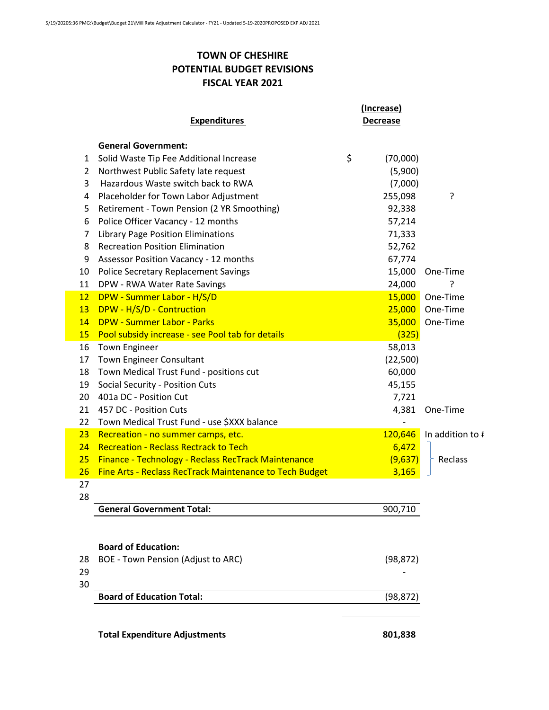### **TOWN OF CHESHIRE POTENTIAL BUDGET REVISIONS FISCAL YEAR 2021**

|           |                                                         | (Increase)      |                  |
|-----------|---------------------------------------------------------|-----------------|------------------|
|           | <b>Expenditures</b>                                     | <b>Decrease</b> |                  |
|           | <b>General Government:</b>                              |                 |                  |
| 1         | Solid Waste Tip Fee Additional Increase                 | \$<br>(70,000)  |                  |
| 2         | Northwest Public Safety late request                    | (5,900)         |                  |
| 3         | Hazardous Waste switch back to RWA                      | (7,000)         |                  |
| 4         | Placeholder for Town Labor Adjustment                   | 255,098         | ?                |
| 5         | Retirement - Town Pension (2 YR Smoothing)              | 92,338          |                  |
| 6         | Police Officer Vacancy - 12 months                      | 57,214          |                  |
| 7         | Library Page Position Eliminations                      | 71,333          |                  |
| 8         | <b>Recreation Position Elimination</b>                  | 52,762          |                  |
| 9         | Assessor Position Vacancy - 12 months                   | 67,774          |                  |
| 10        | <b>Police Secretary Replacement Savings</b>             | 15,000          | One-Time         |
| 11        | DPW - RWA Water Rate Savings                            | 24,000          | ?                |
| 12        | DPW - Summer Labor - H/S/D                              | 15,000          | One-Time         |
| 13        | DPW - H/S/D - Contruction                               | 25,000          | One-Time         |
| 14        | <b>DPW - Summer Labor - Parks</b>                       | 35,000          | One-Time         |
| <b>15</b> | Pool subsidy increase - see Pool tab for details        | (325)           |                  |
| 16        | <b>Town Engineer</b>                                    | 58,013          |                  |
| 17        | <b>Town Engineer Consultant</b>                         | (22,500)        |                  |
| 18        | Town Medical Trust Fund - positions cut                 | 60,000          |                  |
| 19        | <b>Social Security - Position Cuts</b>                  | 45,155          |                  |
| 20        | 401a DC - Position Cut                                  | 7,721           |                  |
| 21        | 457 DC - Position Cuts                                  | 4,381           | One-Time         |
| 22        | Town Medical Trust Fund - use \$XXX balance             |                 |                  |
| 23        | Recreation - no summer camps, etc.                      | 120,646         | In addition to # |
| 24        | <b>Recreation - Reclass Rectrack to Tech</b>            | 6,472           |                  |
| 25        | Finance - Technology - Reclass RecTrack Maintenance     | (9,637)         | Reclass          |
| 26        | Fine Arts - Reclass RecTrack Maintenance to Tech Budget | 3,165           |                  |
| 27        |                                                         |                 |                  |
| 28        |                                                         |                 |                  |
|           | <b>General Government Total:</b>                        | 900,710         |                  |
|           |                                                         |                 |                  |
|           |                                                         |                 |                  |
|           | <b>Board of Education:</b>                              |                 |                  |
| 28        | BOE - Town Pension (Adjust to ARC)                      | (98, 872)       |                  |
| 29        |                                                         |                 |                  |
| 30        |                                                         |                 |                  |
|           | <b>Board of Education Total:</b>                        | (98, 872)       |                  |
|           |                                                         |                 |                  |
|           |                                                         |                 |                  |
|           | <b>Total Expenditure Adjustments</b>                    | 801,838         |                  |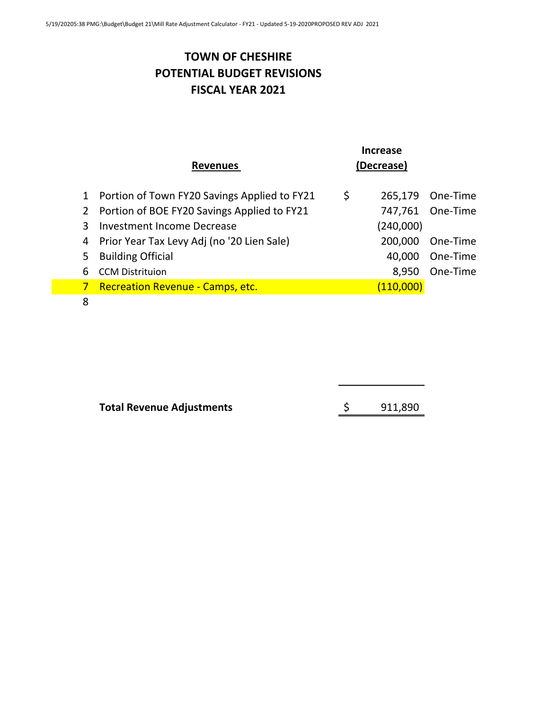## **TOWN OF CHESHIRE POTENTIAL BUDGET REVISIONS FISCAL YEAR 2021**

|              |                                              | <b>Increase</b> |          |
|--------------|----------------------------------------------|-----------------|----------|
|              | <b>Revenues</b>                              | (Decrease)      |          |
| $\mathbf{1}$ | Portion of Town FY20 Savings Applied to FY21 | \$<br>265,179   | One-Time |
| 2            | Portion of BOE FY20 Savings Applied to FY21  | 747,761         | One-Time |
| 3            | <b>Investment Income Decrease</b>            | (240,000)       |          |
| 4            | Prior Year Tax Levy Adj (no '20 Lien Sale)   | 200,000         | One-Time |
| 5.           | <b>Building Official</b>                     | 40,000          | One-Time |
| 6            | <b>CCM Distrituion</b>                       | 8,950           | One-Time |
| 7.           | <b>Recreation Revenue - Camps, etc.</b>      | (110,000)       |          |
|              |                                              |                 |          |

8

**Total Revenue Adjustments** \$ 911,890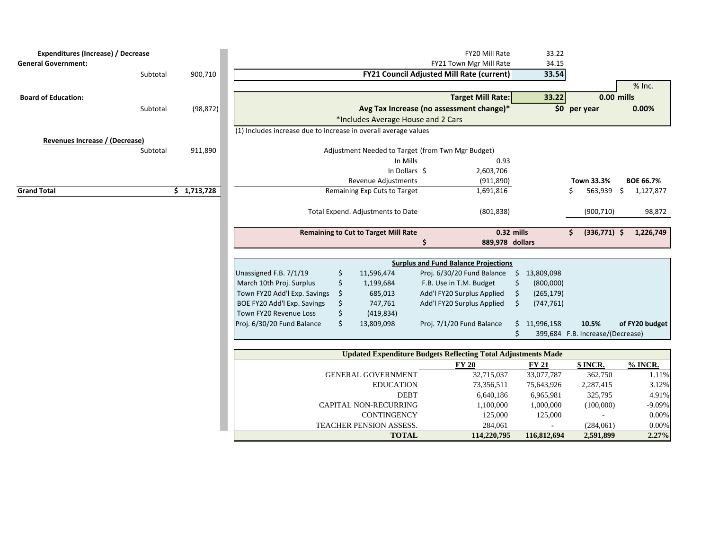| <b>Expenditures (Increase) / Decrease</b> |          |             |                                                                 | 33.22                                             |                                             |                                                                      |    |                         |                                  |      |                   |
|-------------------------------------------|----------|-------------|-----------------------------------------------------------------|---------------------------------------------------|---------------------------------------------|----------------------------------------------------------------------|----|-------------------------|----------------------------------|------|-------------------|
| <b>General Government:</b>                |          |             |                                                                 |                                                   |                                             | FY21 Town Mgr Mill Rate                                              |    | 34.15                   |                                  |      |                   |
|                                           | Subtotal | 900,710     |                                                                 |                                                   |                                             | <b>FY21 Council Adjusted Mill Rate (current)</b>                     |    | 33.54                   |                                  |      |                   |
|                                           |          |             |                                                                 |                                                   |                                             |                                                                      |    |                         |                                  |      | % Inc.            |
| <b>Board of Education:</b>                |          |             |                                                                 |                                                   |                                             | <b>Target Mill Rate:</b>                                             |    | 33.22                   | 0.00 mills                       |      |                   |
|                                           | Subtotal | (98, 872)   |                                                                 |                                                   |                                             | Avg Tax Increase (no assessment change)*                             |    |                         | \$0 per year                     |      | 0.00%             |
|                                           |          |             |                                                                 |                                                   | *Includes Average House and 2 Cars          |                                                                      |    |                         |                                  |      |                   |
|                                           |          |             | (1) Includes increase due to increase in overall average values |                                                   |                                             |                                                                      |    |                         |                                  |      |                   |
| Revenues Increase / (Decrease)            |          |             |                                                                 |                                                   |                                             |                                                                      |    |                         |                                  |      |                   |
|                                           | Subtotal | 911,890     |                                                                 | Adjustment Needed to Target (from Twn Mgr Budget) |                                             |                                                                      |    |                         |                                  |      |                   |
|                                           |          |             |                                                                 |                                                   | In Mills                                    | 0.93                                                                 |    |                         |                                  |      |                   |
|                                           |          |             |                                                                 |                                                   | In Dollars \$                               | 2,603,706                                                            |    |                         |                                  |      |                   |
|                                           |          |             |                                                                 |                                                   | Revenue Adjustments                         | (911, 890)                                                           |    |                         | Town 33.3%                       |      | <b>BOE 66.7%</b>  |
| <b>Grand Total</b>                        |          | \$1,713,728 |                                                                 |                                                   | Remaining Exp Cuts to Target                | 1,691,816                                                            |    |                         | 563,939                          | - \$ | 1,127,877         |
|                                           |          |             |                                                                 |                                                   |                                             |                                                                      |    |                         |                                  |      |                   |
|                                           |          |             |                                                                 |                                                   | Total Expend. Adjustments to Date           | (801, 838)                                                           |    |                         | (900, 710)                       |      | 98,872            |
|                                           |          |             |                                                                 |                                                   |                                             |                                                                      |    |                         |                                  |      |                   |
|                                           |          |             |                                                                 |                                                   | <b>Remaining to Cut to Target Mill Rate</b> | 0.32 mills                                                           |    |                         | \$<br>$(336,771)$ \$             |      | 1,226,749         |
|                                           |          |             |                                                                 |                                                   |                                             | Ś<br>889,978 dollars                                                 |    |                         |                                  |      |                   |
|                                           |          |             |                                                                 |                                                   |                                             | <b>Surplus and Fund Balance Projections</b>                          |    |                         |                                  |      |                   |
|                                           |          |             | Unassigned F.B. 7/1/19                                          | \$                                                | 11,596,474                                  | Proj. 6/30/20 Fund Balance                                           |    | \$13,809,098            |                                  |      |                   |
|                                           |          |             | March 10th Proj. Surplus                                        | \$                                                | 1,199,684                                   | F.B. Use in T.M. Budget                                              | \$ | (800,000)               |                                  |      |                   |
|                                           |          |             | Town FY20 Add'l Exp. Savings                                    | \$                                                | 685,013                                     | Add'l FY20 Surplus Applied                                           | \$ | (265, 179)              |                                  |      |                   |
|                                           |          |             | BOE FY20 Add'l Exp. Savings                                     | \$                                                | 747,761                                     | Add'l FY20 Surplus Applied                                           | \$ | (747, 761)              |                                  |      |                   |
|                                           |          |             | Town FY20 Revenue Loss                                          | \$                                                | (419, 834)                                  |                                                                      |    |                         |                                  |      |                   |
|                                           |          |             | Proj. 6/30/20 Fund Balance                                      | \$                                                | 13,809,098                                  | Proj. 7/1/20 Fund Balance                                            |    | \$11,996,158            | 10.5%                            |      | of FY20 budget    |
|                                           |          |             |                                                                 |                                                   |                                             |                                                                      |    |                         | 399,684 F.B. Increase/(Decrease) |      |                   |
|                                           |          |             |                                                                 |                                                   |                                             |                                                                      |    |                         |                                  |      |                   |
|                                           |          |             |                                                                 |                                                   |                                             | <b>Updated Expenditure Budgets Reflecting Total Adjustments Made</b> |    |                         |                                  |      |                   |
|                                           |          |             | <b>FY 20</b>                                                    |                                                   |                                             |                                                                      |    | <b>FY 21</b>            | \$INCR.                          |      | $%$ INCR.         |
|                                           |          |             | <b>GENERAL GOVERNMENT</b><br>32,715,037                         |                                                   |                                             |                                                                      |    | 33,077,787              | 362,750                          |      | 1.11%             |
|                                           |          |             | 73,356,511<br><b>EDUCATION</b>                                  |                                                   |                                             |                                                                      |    | 75,643,926<br>6,965,981 | 2,287,415                        |      | 3.12%             |
|                                           |          |             | <b>DEBT</b><br>6,640,186<br>CAPITAL NON-RECURRING               |                                                   |                                             |                                                                      |    |                         | 325,795                          |      | 4.91%             |
|                                           |          |             |                                                                 |                                                   | <b>CONTINGENCY</b>                          | 1,100,000<br>125,000                                                 |    | 1,000,000<br>125,000    | (100,000)<br>$\mathbf{r}$        |      | $-9.09%$<br>0.00% |
|                                           |          |             |                                                                 |                                                   | TEACHER PENSION ASSESS.                     | 284,061                                                              |    |                         | (284,061)                        |      | 0.00%             |
|                                           |          |             |                                                                 |                                                   | <b>TOTAL</b>                                | 114,220,795                                                          |    | 116,812,694             | 2,591,899                        |      | 2.27%             |
|                                           |          |             |                                                                 |                                                   |                                             |                                                                      |    |                         |                                  |      |                   |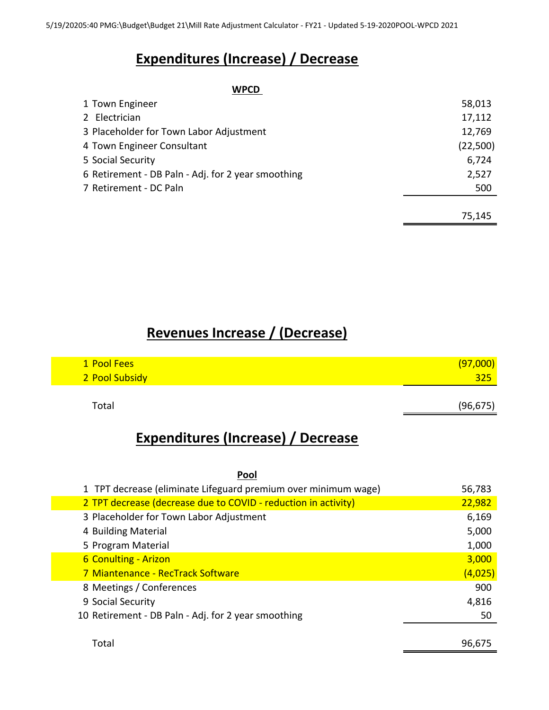# **Expenditures (Increase) / Decrease**

### **WPCD**

| 1 Town Engineer                                    | 58,013   |
|----------------------------------------------------|----------|
| 2 Electrician                                      | 17,112   |
| 3 Placeholder for Town Labor Adjustment            | 12,769   |
| 4 Town Engineer Consultant                         | (22,500) |
| 5 Social Security                                  | 6,724    |
| 6 Retirement - DB Paln - Adj. for 2 year smoothing | 2,527    |
| 7 Retirement - DC Paln                             | 500      |
|                                                    |          |
|                                                    | 75,145   |

## **Revenues Increase / (Decrease)**

| 1 Pool Fees    | (97,000)  |
|----------------|-----------|
| 2 Pool Subsidy | 325       |
| Total          | (96, 675) |

# **Expenditures (Increase) / Decrease**

**Pool**

| 1 TPT decrease (eliminate Lifeguard premium over minimum wage) | 56,783  |
|----------------------------------------------------------------|---------|
| 2 TPT decrease (decrease due to COVID - reduction in activity) | 22,982  |
| 3 Placeholder for Town Labor Adjustment                        | 6,169   |
| 4 Building Material                                            | 5,000   |
| 5 Program Material                                             | 1,000   |
| 6 Conulting - Arizon                                           | 3,000   |
| 7 Miantenance - RecTrack Software                              | (4,025) |
| 8 Meetings / Conferences                                       | 900     |
| 9 Social Security                                              | 4,816   |
| 10 Retirement - DB Paln - Adj. for 2 year smoothing            | 50      |
|                                                                |         |
| Total                                                          | 96.675  |